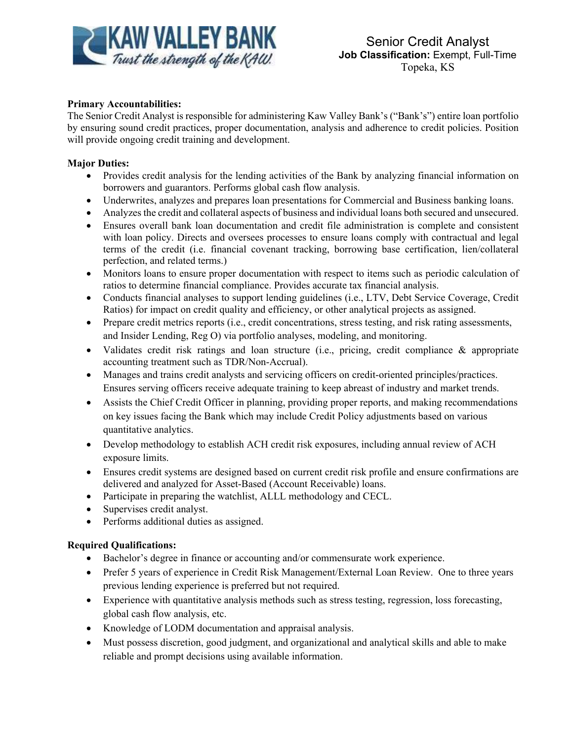

## **Primary Accountabilities:**

The Senior Credit Analyst is responsible for administering Kaw Valley Bank's ("Bank's") entire loan portfolio by ensuring sound credit practices, proper documentation, analysis and adherence to credit policies. Position will provide ongoing credit training and development.

## **Major Duties:**

- Provides credit analysis for the lending activities of the Bank by analyzing financial information on borrowers and guarantors. Performs global cash flow analysis.
- Underwrites, analyzes and prepares loan presentations for Commercial and Business banking loans.
- Analyzes the credit and collateral aspects of business and individual loans both secured and unsecured.
- Ensures overall bank loan documentation and credit file administration is complete and consistent with loan policy. Directs and oversees processes to ensure loans comply with contractual and legal terms of the credit (i.e. financial covenant tracking, borrowing base certification, lien/collateral perfection, and related terms.)
- Monitors loans to ensure proper documentation with respect to items such as periodic calculation of ratios to determine financial compliance. Provides accurate tax financial analysis.
- Conducts financial analyses to support lending guidelines (i.e., LTV, Debt Service Coverage, Credit Ratios) for impact on credit quality and efficiency, or other analytical projects as assigned.
- Prepare credit metrics reports (i.e., credit concentrations, stress testing, and risk rating assessments, and Insider Lending, Reg O) via portfolio analyses, modeling, and monitoring.
- Validates credit risk ratings and loan structure (i.e., pricing, credit compliance & appropriate accounting treatment such as TDR/Non-Accrual).
- Manages and trains credit analysts and servicing officers on credit-oriented principles/practices. Ensures serving officers receive adequate training to keep abreast of industry and market trends.
- Assists the Chief Credit Officer in planning, providing proper reports, and making recommendations on key issues facing the Bank which may include Credit Policy adjustments based on various quantitative analytics.
- Develop methodology to establish ACH credit risk exposures, including annual review of ACH exposure limits.
- Ensures credit systems are designed based on current credit risk profile and ensure confirmations are delivered and analyzed for Asset-Based (Account Receivable) loans.
- Participate in preparing the watchlist, ALLL methodology and CECL.
- Supervises credit analyst.
- Performs additional duties as assigned.

## **Required Qualifications:**

- Bachelor's degree in finance or accounting and/or commensurate work experience.
- Prefer 5 years of experience in Credit Risk Management/External Loan Review. One to three years previous lending experience is preferred but not required.
- Experience with quantitative analysis methods such as stress testing, regression, loss forecasting, global cash flow analysis, etc.
- Knowledge of LODM documentation and appraisal analysis.
- Must possess discretion, good judgment, and organizational and analytical skills and able to make reliable and prompt decisions using available information.